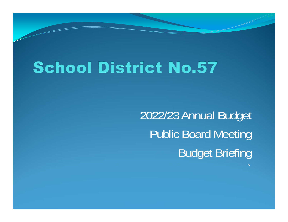# **School District No.57**

2022/23 Annual Budget Public Board Meeting Budget Briefing

`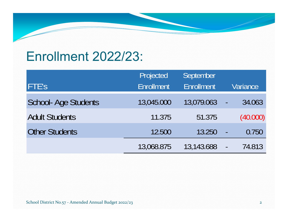### Enrollment 2022/23:

|                            | Projected         | September         |                          |
|----------------------------|-------------------|-------------------|--------------------------|
| <b>FTE'S</b>               | <b>Enrollment</b> | <b>Enrollment</b> | Variance                 |
| <b>School-Age Students</b> | 13,045.000        | 13,079.063        | 34.063<br>$\blacksquare$ |
| <b>Adult Students</b>      | 11.375            | 51.375            | (40.000)                 |
| <b>Other Students</b>      | 12.500            | 13.250            | 0.750<br>P               |
|                            | 13,068.875        | 13,143.688        | 74.813<br>$\blacksquare$ |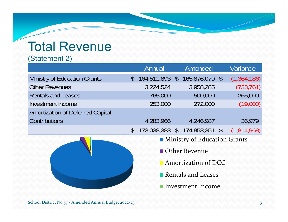### Total Revenue

#### (Statement 2)

|                                         |                     | Annual    |  | <b>Amended</b>                      |  | Variance    |  |  |
|-----------------------------------------|---------------------|-----------|--|-------------------------------------|--|-------------|--|--|
| <b>Ministry of Education Grants</b>     |                     |           |  | $$164,511,893$ \$ $165,876,079$ \$  |  | (1,364,186) |  |  |
| <b>Other Revenues</b>                   |                     | 3,224,524 |  | 3,958,285                           |  | (733, 761)  |  |  |
| <b>Rentals and Leases</b>               |                     | 765,000   |  | 500,000                             |  | 265,000     |  |  |
| Investment Income                       |                     | 253,000   |  | 272,000                             |  | (19,000)    |  |  |
| <b>Amortization of Deferred Capital</b> |                     |           |  |                                     |  |             |  |  |
| <b>Contributions</b>                    |                     | 4,283,966 |  | 4,246,987                           |  | 36,979      |  |  |
|                                         | $\mathcal{S}$       |           |  | 173,038,383 \$ 174,853,351 \$       |  | (1,814,968) |  |  |
|                                         |                     |           |  | <b>Ministry of Education Grants</b> |  |             |  |  |
|                                         |                     |           |  | <b>Other Revenue</b>                |  |             |  |  |
|                                         | Amortization of DCC |           |  |                                     |  |             |  |  |
|                                         |                     |           |  | Rentals and Leases                  |  |             |  |  |

Investment Income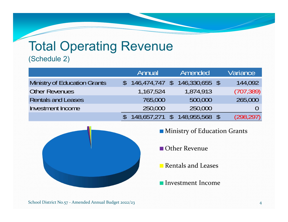## Total Operating Revenue

#### (Schedule 2)

|                              | Amended<br>Annual |  |                |  | Variance   |
|------------------------------|-------------------|--|----------------|--|------------|
| Ministry of Education Grants | $146,474,747$ \$  |  | 146,330,655 \$ |  | 144,092    |
| <b>Other Revenues</b>        | 1,167,524         |  | 1,874,913      |  | (707, 389) |
| <b>Rentals and Leases</b>    | 765,000           |  | 500,000        |  | 265,000    |
| <b>Investment Income</b>     | 250,000           |  | 250,000        |  |            |
|                              | $148,657,271$ \$  |  | 148,955,568 \$ |  | (298, 297) |



**Ministry of Education Grants** 

Other Revenue

- Rentals and Leases
- Investment Income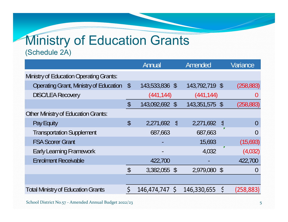### Ministry of Education Grants (Schedule 2A)

|                                                |              | Annual         |            | Amended        |                | Variance         |
|------------------------------------------------|--------------|----------------|------------|----------------|----------------|------------------|
| <b>Ministry of Education Operating Grants:</b> |              |                |            |                |                |                  |
| <b>Operating Grant, Ministry of Education</b>  | $\sqrt[6]{}$ | 143,533,836 \$ |            | 143,792,719 \$ |                | (258, 883)       |
| <b>DISC/LEA Recovery</b>                       |              | (441, 144)     |            | (441, 144)     |                |                  |
|                                                | \$           | 143,092,692 \$ |            | 143,351,575 \$ |                | (258, 883)       |
| <b>Other Ministry of Education Grants:</b>     |              |                |            |                |                |                  |
| Pay Equity                                     | \$           | 2,271,692      | $\sqrt{2}$ | 2,271,692      | $\mathfrak{L}$ |                  |
| <b>Transportation Supplement</b>               |              | 687,663        |            | 687,663        |                |                  |
| <b>FSA Scorer Grant</b>                        |              |                |            | 15,693         |                | (15,693)         |
| <b>Early Learning Framework</b>                |              |                |            | 4,032          |                | (4,032)          |
| <b>Enrolment Receivable</b>                    |              | 422,700        |            |                |                | 422,700          |
|                                                | \$           | 3,382,055 \$   |            | 2,979,080 \$   |                | $\left( \right)$ |
|                                                |              |                |            |                |                |                  |
| <b>Total Ministry of Education Grants</b>      | Ś            | 146,474,747 \$ |            | 146,330,655    | $\zeta$        | (258, 883)       |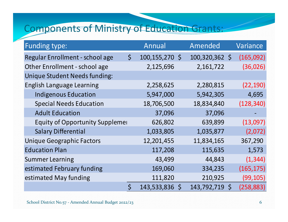### Components of Ministry of Education Grants:

| Funding type:                          |             | Annual         | Amended        |              | Variance   |
|----------------------------------------|-------------|----------------|----------------|--------------|------------|
| Regular Enrollment - school age        | $\zeta$     | 100,155,270 \$ | 100,320,362 \$ |              | (165,092)  |
| Other Enrollment - school age          |             | 2,125,696      | 2,161,722      |              | (36, 026)  |
| <b>Unique Student Needs funding:</b>   |             |                |                |              |            |
| <b>English Language Learning</b>       |             | 2,258,625      | 2,280,815      |              | (22, 190)  |
| <b>Indigenous Education</b>            |             | 5,947,000      | 5,942,305      |              | 4,695      |
| <b>Special Needs Education</b>         |             | 18,706,500     | 18,834,840     |              | (128, 340) |
| <b>Adult Education</b>                 |             | 37,096         | 37,096         |              |            |
| <b>Equity of Opportunity Supplemer</b> |             | 626,802        | 639,899        |              | (13,097)   |
| <b>Salary Differential</b>             |             | 1,033,805      | 1,035,877      |              | (2,072)    |
| <b>Unique Geographic Factors</b>       |             | 12,201,455     | 11,834,165     |              | 367,290    |
| <b>Education Plan</b>                  |             | 117,208        | 115,635        |              | 1,573      |
| <b>Summer Learning</b>                 |             | 43,499         | 44,843         |              | (1, 344)   |
| estimated February funding             |             | 169,060        | 334,235        |              | (165, 175) |
| estimated May funding                  |             | 111,820        | 210,925        |              | (99, 105)  |
|                                        | $\varsigma$ | 143,533,836 \$ | 143,792,719    | $\mathsf{S}$ | (258, 883) |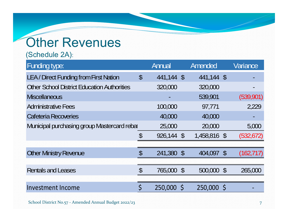### **Other Revenues**

(Schedule 2A):

| <b>Funding type:</b>                               |                            | Annual     | Amended      | Variance   |
|----------------------------------------------------|----------------------------|------------|--------------|------------|
| <b>LEA / Direct Funding from First Nation</b>      | $\boldsymbol{\mathsf{\$}}$ | 441,144 \$ | 441,144 \$   |            |
| <b>Other School District Education Authorities</b> |                            | 320,000    | 320,000      |            |
| <b>Miscellaneous</b>                               |                            |            | 539,901      | (539,901)  |
| <b>Administrative Fees</b>                         |                            | 100,000    | 97,771       | 2,229      |
| Cafeteria Recoveries                               |                            | 40,000     | 40,000       |            |
| Municipal purchasing group Mastercard rebal        |                            | 25,000     | 20,000       | 5,000      |
|                                                    | \$                         | 926,144 \$ | 1,458,816 \$ | (532, 672) |
|                                                    |                            |            |              |            |
| <b>Other Ministry Revenue</b>                      | $\boldsymbol{\mathsf{\$}}$ | 241,380 \$ | 404,097 \$   | (162, 717) |
|                                                    |                            |            |              |            |
| <b>Rentals and Leases</b>                          | $\mathcal{S}$              | 765,000 \$ | 500,000 \$   | 265,000    |
|                                                    |                            |            |              |            |
| <b>Investment Income</b>                           | \$                         | 250,000 \$ | 250,000 \$   |            |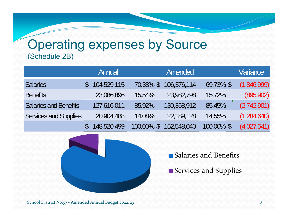### Operating expenses by Source (Schedule 2B)

|                              | Annual      |           | Amended     |            | Variance    |
|------------------------------|-------------|-----------|-------------|------------|-------------|
| <b>Salaries</b>              | 104,529,115 | 70.38% \$ | 106,376,114 | 69.73% \$  | (1,846,999) |
| <b>Benefits</b>              | 23,086,896  | 15.54%    | 23,982,798  | 15.72%     | (895, 902)  |
| <b>Salaries and Benefits</b> | 127,616,011 | 85.92%    | 130,358,912 | 85.45%     | (2,742,901) |
| <b>Services and Supplies</b> | 20,904,488  | 14.08%    | 22,189,128  | 14.55%     | (1,284,640) |
|                              | 148,520,499 | 100.00%   | 152,548,040 | 100.00% \$ | (4,027,541) |



- Salaries and Benefits
- Services and Supplies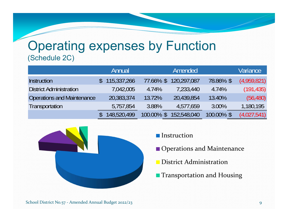#### Operating expenses by Function (Schedule 2C)

|                                | Annual      |                          | Amended     |            | Variance    |
|--------------------------------|-------------|--------------------------|-------------|------------|-------------|
| <b>Instruction</b>             | 115,337,266 | 77.66% \$                | 120,297,087 | 78.86% \$  | (4,959,821) |
| <b>District Administration</b> | 7,042,005   | 4.74%                    | 7,233,440   | 4.74%      | (191, 435)  |
| Operations and Maintenance     | 20,383,374  | 13.72%                   | 20,439,854  | 13.40%     | (56, 480)   |
| Transportation                 | 5,757,854   | 3.88%                    | 4,577,659   | 3.00%      | 1,180,195   |
|                                | 148,520,499 | 100.00%<br>$\mathcal{S}$ | 152,548,040 | 100.00% \$ | (4,027,541) |



- **Instruction**
- **Operations and Maintenance**
- District Administration
- **Transportation and Housing**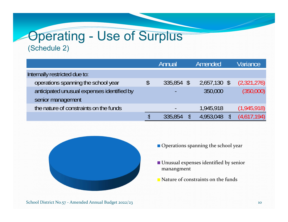### Operating - Use of Surplus (Schedule 2)

|                                            | Annual                   |               | Amended      | Variance    |
|--------------------------------------------|--------------------------|---------------|--------------|-------------|
| Internally restricted due to:              |                          |               |              |             |
| operations spanning the school year        | \$<br>335,854            | $\mathcal{S}$ | 2,657,130 \$ | (2,321,276) |
| anticipated unusual expenses identified by |                          |               | 350,000      | (350,000)   |
| senior management                          |                          |               |              |             |
| the nature of constraints on the funds     | $\overline{\phantom{a}}$ |               | 1,945,918    | (1,945,918) |
|                                            | 335,854                  |               | 4,953,048    | (4,617,194) |



- Operations spanning the school year
- Unusual expenses identified by senior manangment
- Nature of constraints on the funds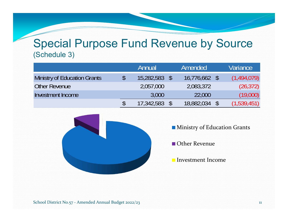#### Special Purpose Fund Revenue by Source (Schedule 3)

|                              | Annual     | Amended         | Variance    |
|------------------------------|------------|-----------------|-------------|
| Ministry of Education Grants | 15,282,583 | $16,776,662$ \$ | (1,494,079) |
| Other Revenue                | 2,057,000  | 2,083,372       | (26, 372)   |
| Investment Income            | 3,000      | 22,000          | (19,000)    |
|                              | 17,342,583 | 18,882,034      | (1,539,451) |



- **Ministry of Education Grants**
- Other Revenue
- Investment Income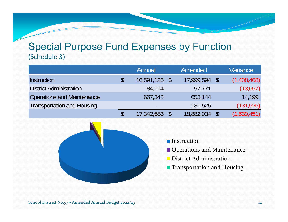#### Special Purpose Fund Expenses by Function (Schedule 3)

|                                   | Annual                       | Amended    | Variance    |
|-----------------------------------|------------------------------|------------|-------------|
| <b>Instruction</b>                | \$<br>$16,591,126$ \$        | 17,999,594 | (1,408,468) |
| <b>District Administration</b>    | 84,114                       | 97,771     | (13,657)    |
| <b>Operations and Maintenance</b> | 667,343                      | 653,144    | 14.199      |
| <b>Transportation and Housing</b> | $\qquad \qquad \blacksquare$ | 131,525    | (131, 525)  |
|                                   | 17,342,583                   | 18,882,034 | (1,539,451) |



- **Instruction**
- Operations and Maintenance
- District Administration
- **Transportation and Housing**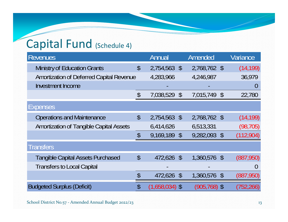### Capital Fund (Schedule 4)

| <b>Revenues</b>                                |                            | Annual           | Amended      | Variance       |
|------------------------------------------------|----------------------------|------------------|--------------|----------------|
| <b>Ministry of Education Grants</b>            | $\boldsymbol{\mathsf{S}}$  | 2,754,563 \$     | 2,768,762 \$ | (14, 199)      |
| Amortization of Deferred Capital Revenue       |                            | 4,283,966        | 4,246,987    | 36,979         |
| <b>Investment Income</b>                       |                            |                  |              | $\overline{0}$ |
|                                                | $\boldsymbol{\mathsf{\$}}$ | 7,038,529 \$     | 7,015,749 \$ | 22,780         |
| <b>Expenses</b>                                |                            |                  |              |                |
| <b>Operations and Maintenance</b>              | $\boldsymbol{\mathsf{\$}}$ | 2,754,563 \$     | 2,768,762 \$ | (14, 199)      |
| <b>Amortization of Tangible Capital Assets</b> |                            | 6,414,626        | 6,513,331    | (98, 705)      |
|                                                | $\boldsymbol{\mathsf{\$}}$ | 9,169,189 \$     | 9,282,093 \$ | (112, 904)     |
| <b>Transfers</b>                               |                            |                  |              |                |
| <b>Tangible Capital Assets Purchased</b>       | $\mathcal{S}$              | 472,626 \$       | 1,360,576 \$ | (887,950)      |
| <b>Transfers to Local Capital</b>              |                            |                  |              | $\cup$         |
|                                                | \$                         | 472,626 \$       | 1,360,576 \$ | (887, 950)     |
| <b>Budgeted Surplus (Deficit)</b>              | \$                         | $(1,658,034)$ \$ | (905,768) \$ | (752,266)      |